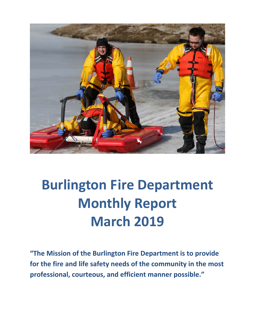

# **Burlington Fire Department Monthly Report March 2019**

**"The Mission of the Burlington Fire Department is to provide for the fire and life safety needs of the community in the most professional, courteous, and efficient manner possible."**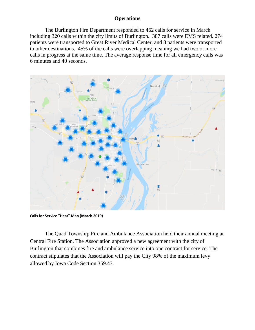### **Operations**

The Burlington Fire Department responded to 462 calls for service in March including 320 calls within the city limits of Burlington. 387 calls were EMS related. 274 patients were transported to Great River Medical Center, and 8 patients were transported to other destinations. 45% of the calls were overlapping meaning we had two or more calls in progress at the same time. The average response time for all emergency calls was 6 minutes and 40 seconds.



**Calls for Service "Heat" Map (March 2019)**

The Quad Township Fire and Ambulance Association held their annual meeting at Central Fire Station. The Association approved a new agreement with the city of Burlington that combines fire and ambulance service into one contract for service. The contract stipulates that the Association will pay the City 98% of the maximum levy allowed by Iowa Code Section 359.43.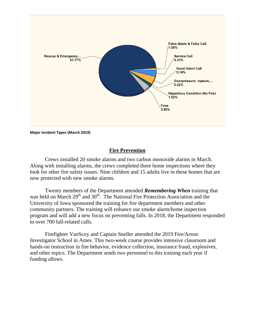

**Major Incident Types (March 2019)**

### **Fire Prevention**

Crews installed 20 smoke alarms and two carbon monoxide alarms in March. Along with installing alarms, the crews completed three home inspections where they look for other fire safety issues. Nine children and 15 adults live in these homes that are now protected with new smoke alarms.

Twenty members of the Department attended *Remembering When* training that was held on March  $29<sup>th</sup>$  and  $30<sup>th</sup>$ . The National Fire Protection Association and the University of Iowa sponsored the training for fire department members and other community partners. The training will enhance our smoke alarm/home inspection program and will add a new focus on preventing falls. In 2018, the Department responded to over 700 fall-related calls.

Firefighter VanScoy and Captain Sneller attended the 2019 Fire/Arson Investigator School in Ames. This two-week course provides intensive classroom and hands-on instruction in fire behavior, evidence collection, insurance fraud, explosives, and other topics. The Department sends two personnel to this training each year if funding allows.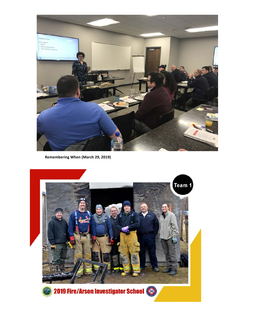

**Remembering When (March 29, 2019)**

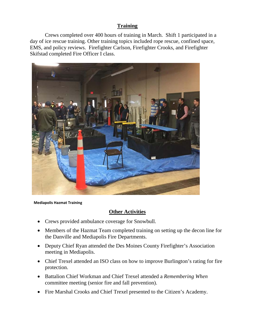### **Training**

Crews completed over 400 hours of training in March. Shift 1 participated in a day of ice rescue training. Other training topics included rope rescue, confined space, EMS, and policy reviews. Firefighter Carlson, Firefighter Crooks, and Firefighter Skifstad completed Fire Officer I class.



 **Mediapolis Hazmat Training**

### **Other Activities**

- Crews provided ambulance coverage for Snowbull.
- Members of the Hazmat Team completed training on setting up the decon line for the Danville and Mediapolis Fire Departments.
- Deputy Chief Ryan attended the Des Moines County Firefighter's Association meeting in Mediapolis.
- Chief Trexel attended an ISO class on how to improve Burlington's rating for fire protection.
- Battalion Chief Workman and Chief Trexel attended a *Remembering When* committee meeting (senior fire and fall prevention).
- Fire Marshal Crooks and Chief Trexel presented to the Citizen's Academy.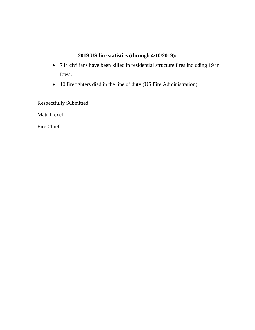### **2019 US fire statistics (through 4/10/2019):**

- 744 civilians have been killed in residential structure fires including 19 in Iowa.
- 10 firefighters died in the line of duty (US Fire Administration).

Respectfully Submitted,

Matt Trexel

Fire Chief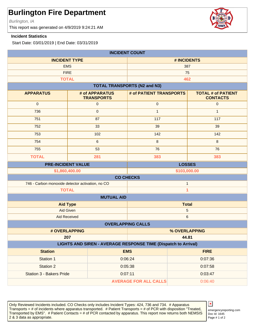Burlington, IA

This report was generated on 4/9/2019 9:24:21 AM

#### **Incident Statistics**

Start Date: 03/01/2019 | End Date: 03/31/2019

| <b>INCIDENT COUNT</b>                                                 |                                     |                                     |              |                                              |
|-----------------------------------------------------------------------|-------------------------------------|-------------------------------------|--------------|----------------------------------------------|
| <b>INCIDENT TYPE</b>                                                  |                                     | # INCIDENTS                         |              |                                              |
| <b>EMS</b>                                                            |                                     | 387                                 |              |                                              |
|                                                                       | <b>FIRE</b>                         |                                     | 75           |                                              |
| <b>TOTAL</b>                                                          |                                     | 462                                 |              |                                              |
|                                                                       |                                     | <b>TOTAL TRANSPORTS (N2 and N3)</b> |              |                                              |
| <b>APPARATUS</b>                                                      | # of APPARATUS<br><b>TRANSPORTS</b> | # of PATIENT TRANSPORTS             |              | <b>TOTAL # of PATIENT</b><br><b>CONTACTS</b> |
| $\mathbf 0$                                                           | $\mathbf 0$                         | $\mathbf 0$                         |              | $\mathbf 0$                                  |
| 736                                                                   | $\mathbf 0$                         | $\mathbf{1}$                        |              | $\mathbf{1}$                                 |
| 751                                                                   | 87                                  | 117                                 |              | 117                                          |
| 752                                                                   | 33                                  | 39                                  |              | 39                                           |
| 753                                                                   | 102                                 | 142                                 |              | 142                                          |
| 754                                                                   | 6                                   | 8                                   |              | 8                                            |
| 755                                                                   | 53                                  | 76                                  |              | 76                                           |
| <b>TOTAL</b>                                                          | 281                                 | 383                                 |              | 383                                          |
| <b>PRE-INCIDENT VALUE</b>                                             |                                     | <b>LOSSES</b>                       |              |                                              |
| \$1,860,400.00                                                        |                                     | \$103,000.00                        |              |                                              |
| <b>CO CHECKS</b>                                                      |                                     |                                     |              |                                              |
| 746 - Carbon monoxide detector activation, no CO                      |                                     |                                     | $\mathbf{1}$ |                                              |
| <b>TOTAL</b><br>1                                                     |                                     |                                     |              |                                              |
| <b>MUTUAL AID</b>                                                     |                                     |                                     |              |                                              |
| <b>Aid Type</b>                                                       |                                     | <b>Total</b>                        |              |                                              |
| Aid Given                                                             |                                     | $\mathbf 5$                         |              |                                              |
| <b>Aid Received</b>                                                   |                                     |                                     | $\,6$        |                                              |
| <b>OVERLAPPING CALLS</b>                                              |                                     |                                     |              |                                              |
| # OVERLAPPING                                                         |                                     | % OVERLAPPING                       |              |                                              |
| 207                                                                   |                                     |                                     | 44.81        |                                              |
| <b>LIGHTS AND SIREN - AVERAGE RESPONSE TIME (Dispatch to Arrival)</b> |                                     |                                     |              |                                              |
| <b>Station</b>                                                        |                                     | <b>EMS</b>                          |              | <b>FIRE</b>                                  |
| Station 1                                                             |                                     | 0:06:24                             | 0:07:36      |                                              |
| <b>Station 2</b>                                                      |                                     | 0:05:38                             | 0:07:58      |                                              |
| Station 3 - Bakers Pride                                              | 0:07:11                             |                                     |              | 0:03:47                                      |
| <b>AVERAGE FOR ALL CALLS</b><br>0:06:40                               |                                     |                                     |              |                                              |

Only Reviewed Incidents included. CO Checks only includes Incident Types: 424, 736 and 734. # Apparatus Transports = # of incidents where apparatus transported. # Patient Transports = # of PCR with disposition "Treated, Transported by EMS". # Patient Contacts = # of PCR contacted by apparatus. This report now returns both NEMSIS 2 & 3 data as appropriate. The set of 2 set of 2 set of 2 set of 2 set of 2 set of 2 set of 2 set of 2 set of 2



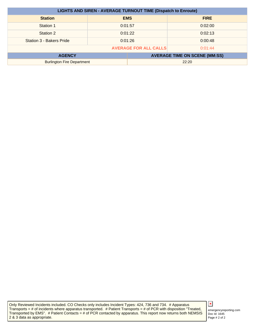| <b>LIGHTS AND SIREN - AVERAGE TURNOUT TIME (Dispatch to Enroute)</b> |                    |            |                                      |
|----------------------------------------------------------------------|--------------------|------------|--------------------------------------|
| <b>Station</b>                                                       |                    | <b>EMS</b> | <b>FIRE</b>                          |
| Station 1                                                            | 0:01:57            |            | 0:02:00                              |
| Station 2                                                            | 0:01:22<br>0:02:13 |            |                                      |
| Station 3 - Bakers Pride                                             | 0:01:26            |            | 0:00:48                              |
| <b>AVERAGE FOR ALL CALLS</b><br>0:01:44                              |                    |            |                                      |
| <b>AGENCY</b>                                                        |                    |            | <b>AVERAGE TIME ON SCENE (MM:SS)</b> |
| <b>Burlington Fire Department</b>                                    |                    |            | 22:20                                |

Only Reviewed Incidents included. CO Checks only includes Incident Types: 424, 736 and 734. # Apparatus Transports = # of incidents where apparatus transported. # Patient Transports = # of PCR with disposition "Treated, Transported by EMS". # Patient Contacts = # of PCR contacted by apparatus. This report now returns both NEMSIS 2 & 3 data as appropriate.

### $\pmb{\times}$

Doc Id: 1645 emergencyreporting.com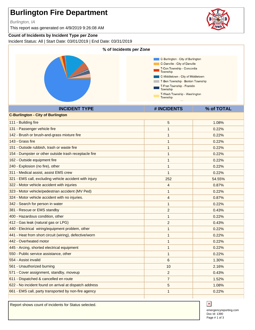Burlington, IA

This report was generated on 4/9/2019 9:26:08 AM

#### **Count of Incidents by Incident Type per Zone**

Incident Status: All | Start Date: 03/01/2019 | End Date: 03/31/2019



Report shows count of incidents for Status selected.



Doc Id: 1390 emergencyreporting.com Page # 1 of 3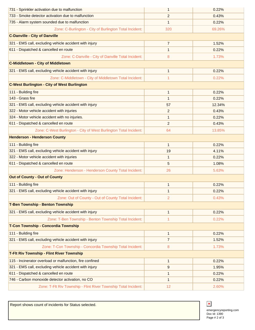| 731 - Sprinkler activation due to malfunction                     | 1              | 0.22%  |
|-------------------------------------------------------------------|----------------|--------|
| 733 - Smoke detector activation due to malfunction                | 2              | 0.43%  |
| 735 - Alarm system sounded due to malfunction                     | 1              | 0.22%  |
| Zone: C-Burlington - City of Burlington Total Incident:           | 320            | 69.26% |
| <b>C-Danville - City of Danville</b>                              |                |        |
| 321 - EMS call, excluding vehicle accident with injury            | $\overline{7}$ | 1.52%  |
| 611 - Dispatched & cancelled en route                             | 1              | 0.22%  |
| Zone: C-Danville - City of Danville Total Incident:               | 8              | 1.73%  |
| <b>C-Middletown - City of Middletown</b>                          |                |        |
| 321 - EMS call, excluding vehicle accident with injury            | $\mathbf{1}$   | 0.22%  |
| Zone: C-Middletown - City of Middletown Total Incident:           | 1              | 0.22%  |
| <b>C-West Burlington - City of West Burlington</b>                |                |        |
| 111 - Building fire                                               | 1              | 0.22%  |
| 143 - Grass fire                                                  | $\mathbf{1}$   | 0.22%  |
| 321 - EMS call, excluding vehicle accident with injury            | 57             | 12.34% |
| 322 - Motor vehicle accident with injuries                        | $\overline{2}$ | 0.43%  |
| 324 - Motor vehicle accident with no injuries.                    | $\mathbf{1}$   | 0.22%  |
| 611 - Dispatched & cancelled en route                             | $\overline{2}$ | 0.43%  |
| Zone: C-West Burlington - City of West Burlington Total Incident: | 64             | 13.85% |
| <b>Henderson - Henderson County</b>                               |                |        |
| 111 - Building fire                                               | $\mathbf{1}$   | 0.22%  |
| 321 - EMS call, excluding vehicle accident with injury            | 19             | 4.11%  |
| 322 - Motor vehicle accident with injuries                        | $\mathbf{1}$   | 0.22%  |
| 611 - Dispatched & cancelled en route                             | 5              | 1.08%  |
| Zone: Henderson - Henderson County Total Incident:                | 26             | 5.63%  |
| <b>Out of County - Out of County</b>                              |                |        |
| 111 - Building fire                                               | 1              | 0.22%  |
| 321 - EMS call, excluding vehicle accident with injury            | 1              | 0.22%  |
| Zone: Out of County - Out of County Total Incident:               | 2              | 0.43%  |
| <b>T-Ben Township - Benton Township</b>                           |                |        |
| 321 - EMS call, excluding vehicle accident with injury            | 1              | 0.22%  |
| Zone: T-Ben Township - Benton Township Total Incident:            | 1              | 0.22%  |
| T-Con Township - Concordia Township                               |                |        |
| 111 - Building fire                                               | $\mathbf{1}$   | 0.22%  |
| 321 - EMS call, excluding vehicle accident with injury            | 7              | 1.52%  |
| Zone: T-Con Township - Concordia Township Total Incident:         | 8              | 1.73%  |
| <b>T-Fit Riv Township - Flint River Township</b>                  |                |        |
| 115 - Incinerator overload or malfunction, fire confined          | $\mathbf{1}$   | 0.22%  |
| 321 - EMS call, excluding vehicle accident with injury            | 9              | 1.95%  |
| 611 - Dispatched & cancelled en route                             | 1              | 0.22%  |
| 746 - Carbon monoxide detector activation, no CO                  | $\mathbf{1}$   | 0.22%  |
| Zone: T-Flt Riv Township - Flint River Township Total Incident:   | 12             | 2.60%  |

Report shows count of incidents for Status selected.

 $\pmb{\times}$ emergencyreporting.com Doc Id: 1390 Page # 2 of 3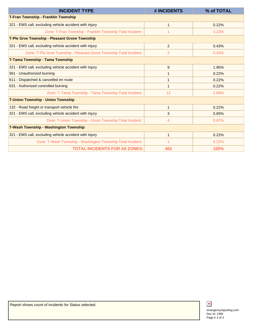| <b>INCIDENT TYPE</b>                                                | # INCIDENTS    | % of TOTAL |
|---------------------------------------------------------------------|----------------|------------|
| <b>T-Fran Township - Franklin Township</b>                          |                |            |
| 321 - EMS call, excluding vehicle accident with injury              | 1              | 0.22%      |
| Zone: T-Fran Township - Franklin Township Total Incident:           |                | 0.22%      |
| <b>T-Ple Grve Township - Pleasant Grove Township</b>                |                |            |
| 321 - EMS call, excluding vehicle accident with injury              | $\overline{2}$ | 0.43%      |
| Zone: T-Ple Grve Township - Pleasant Grove Township Total Incident: | 2              | 0.43%      |
| T-Tama Township - Tama Township                                     |                |            |
| 321 - EMS call, excluding vehicle accident with injury              | 9              | 1.95%      |
| 561 - Unauthorized burning                                          | 1              | 0.22%      |
| 611 - Dispatched & cancelled en route                               | 1              | 0.22%      |
| 631 - Authorized controlled burning                                 | 1              | 0.22%      |
| Zone: T-Tama Township - Tama Township Total Incident:               | 12             | 2.60%      |
| <b>T-Union Township - Union Township</b>                            |                |            |
| 132 - Road freight or transport vehicle fire                        | 1              | 0.22%      |
| 321 - EMS call, excluding vehicle accident with injury              | 3              | 0.65%      |
| Zone: T-Union Township - Union Township Total Incident:             | 4              | 0.87%      |
| <b>T-Wash Township - Washington Township</b>                        |                |            |
| 321 - EMS call, excluding vehicle accident with injury              | 1              | 0.22%      |
| Zone: T-Wash Township - Washington Township Total Incident:         |                | 0.22%      |
| <b>TOTAL INCIDENTS FOR AII ZONES:</b>                               | 462            | 100%       |



Doc Id: 1390 emergencyreporting.com Page # 3 of 3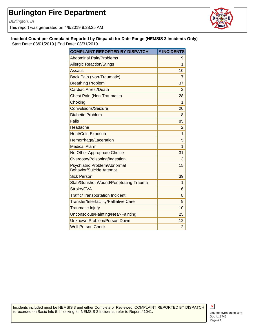Burlington, IA

This report was generated on 4/9/2019 9:28:25 AM



**Incident Count per Complaint Reported by Dispatch for Date Range (NEMSIS 3 Incidents Only)** Start Date: 03/01/2019 | End Date: 03/31/2019

| <b>COMPLAINT REPORTED BY DISPATCH</b>                           | # INCIDENTS    |
|-----------------------------------------------------------------|----------------|
| <b>Abdominal Pain/Problems</b>                                  | 9              |
| <b>Allergic Reaction/Stings</b>                                 | 1              |
| Assault                                                         | 10             |
| <b>Back Pain (Non-Traumatic)</b>                                | 7              |
| <b>Breathing Problem</b>                                        | 37             |
| <b>Cardiac Arrest/Death</b>                                     | $\overline{2}$ |
| <b>Chest Pain (Non-Traumatic)</b>                               | 28             |
| Choking                                                         | 1              |
| Convulsions/Seizure                                             | 20             |
| <b>Diabetic Problem</b>                                         | 8              |
| <b>Falls</b>                                                    | 85             |
| Headache                                                        | $\overline{2}$ |
| <b>Heat/Cold Exposure</b>                                       | 1              |
| Hemorrhage/Laceration                                           | 5              |
| <b>Medical Alarm</b>                                            | 1              |
| No Other Appropriate Choice                                     | 31             |
| Overdose/Poisoning/Ingestion                                    | 3              |
| Psychiatric Problem/Abnormal<br><b>Behavior/Suicide Attempt</b> | 15             |
| Sick Person                                                     | 39             |
| <b>Stab/Gunshot Wound/Penetrating Trauma</b>                    | 1              |
| Stroke/CVA                                                      | 6              |
| <b>Traffic/Transportation Incident</b>                          | 8              |
| Transfer/Interfacility/Palliative Care                          | 9              |
| <b>Traumatic Injury</b>                                         | 10             |
| Unconscious/Fainting/Near-Fainting                              | 25             |
| Unknown Problem/Person Down                                     | 12             |
| <b>Well Person Check</b>                                        | $\overline{2}$ |

Incidents included must be NEMSIS 3 and either Complete or Reviewed. COMPLAINT REPORTED BY DISPATCH is recorded on Basic Info 5. If looking for NEMSIS 2 Incidents, refer to Report #1041.

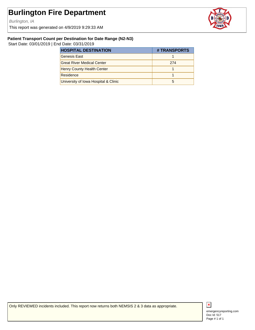Burlington, IA

This report was generated on 4/9/2019 9:29:33 AM



#### **Patient Transport Count per Destination for Date Range (N2-N3)**

Start Date: 03/01/2019 | End Date: 03/31/2019

| <b>HOSPITAL DESTINATION</b>          | # TRANSPORTS |
|--------------------------------------|--------------|
| Genesis East                         |              |
| <b>Great River Medical Center</b>    | 274          |
| <b>Henry County Health Center</b>    |              |
| Residence                            |              |
| University of Iowa Hospital & Clinic |              |

Only REVIEWED incidents included. This report now returns both NEMSIS 2 & 3 data as appropriate.



Doc Id: 517 emergencyreporting.com Page # 1 of 1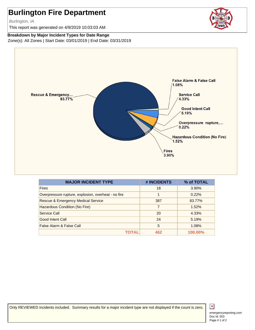Burlington, IA

This report was generated on 4/9/2019 10:03:03 AM

#### **Breakdown by Major Incident Types for Date Range**

Zone(s): All Zones | Start Date: 03/01/2019 | End Date: 03/31/2019



| <b>MAJOR INCIDENT TYPE</b>                          | # INCIDENTS | % of TOTAL |
|-----------------------------------------------------|-------------|------------|
| <b>Fires</b>                                        | 18          | 3.90%      |
| Overpressure rupture, explosion, overheat - no fire | 1           | 0.22%      |
| <b>Rescue &amp; Emergency Medical Service</b>       | 387         | 83.77%     |
| Hazardous Condition (No Fire)                       | 7           | 1.52%      |
| Service Call                                        | 20          | 4.33%      |
| Good Intent Call                                    | 24          | 5.19%      |
| False Alarm & False Call                            | 5           | 1.08%      |
|                                                     | 462         | 100.00%    |

Only REVIEWED incidents included. Summary results for a major incident type are not displayed if the count is zero.



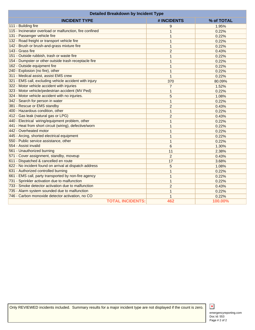| <b>Detailed Breakdown by Incident Type</b>               |                |            |
|----------------------------------------------------------|----------------|------------|
| <b>INCIDENT TYPE</b>                                     | # INCIDENTS    | % of TOTAL |
| 111 - Building fire                                      | 9              | 1.95%      |
| 115 - Incinerator overload or malfunction, fire confined | $\mathbf{1}$   | 0.22%      |
| 131 - Passenger vehicle fire                             | 1              | 0.22%      |
| 132 - Road freight or transport vehicle fire             | $\mathbf{1}$   | 0.22%      |
| 142 - Brush or brush-and-grass mixture fire              | $\mathbf{1}$   | 0.22%      |
| 143 - Grass fire                                         | $\overline{2}$ | 0.43%      |
| 151 - Outside rubbish, trash or waste fire               | 1              | 0.22%      |
| 154 - Dumpster or other outside trash receptacle fire    | $\mathbf{1}$   | 0.22%      |
| 162 - Outside equipment fire                             | 1              | 0.22%      |
| 240 - Explosion (no fire), other                         | $\mathbf{1}$   | 0.22%      |
| 311 - Medical assist, assist EMS crew                    | $\mathbf{1}$   | 0.22%      |
| 321 - EMS call, excluding vehicle accident with injury   | 370            | 80.09%     |
| 322 - Motor vehicle accident with injuries               | $\overline{7}$ | 1.52%      |
| 323 - Motor vehicle/pedestrian accident (MV Ped)         | $\mathbf{1}$   | 0.22%      |
| 324 - Motor vehicle accident with no injuries.           | 5              | 1.08%      |
| 342 - Search for person in water                         | $\mathbf{1}$   | 0.22%      |
| 381 - Rescue or EMS standby                              | $\overline{2}$ | 0.43%      |
| 400 - Hazardous condition, other                         | $\mathbf{1}$   | 0.22%      |
| 412 - Gas leak (natural gas or LPG)                      | $\overline{2}$ | 0.43%      |
| 440 - Electrical wiring/equipment problem, other         | 1              | 0.22%      |
| 441 - Heat from short circuit (wiring), defective/worn   | $\overline{1}$ | 0.22%      |
| 442 - Overheated motor                                   | 1              | 0.22%      |
| 445 - Arcing, shorted electrical equipment               | 1              | 0.22%      |
| 550 - Public service assistance, other                   | $\mathbf{1}$   | 0.22%      |
| 554 - Assist invalid                                     | 6              | 1.30%      |
| 561 - Unauthorized burning                               | 11             | 2.38%      |
| 571 - Cover assignment, standby, moveup                  | 2              | 0.43%      |
| 611 - Dispatched & cancelled en route                    | 17             | 3.68%      |
| 622 - No incident found on arrival at dispatch address   | 5              | 1.08%      |
| 631 - Authorized controlled burning                      | 1              | 0.22%      |
| 661 - EMS call, party transported by non-fire agency     | 1              | 0.22%      |
| 731 - Sprinkler activation due to malfunction            | 1              | 0.22%      |
| 733 - Smoke detector activation due to malfunction       | $\overline{2}$ | 0.43%      |
| 735 - Alarm system sounded due to malfunction            | 1              | 0.22%      |
| 746 - Carbon monoxide detector activation, no CO         | 1              | 0.22%      |
| <b>TOTAL INCIDENTS:</b>                                  | 462            | 100.00%    |

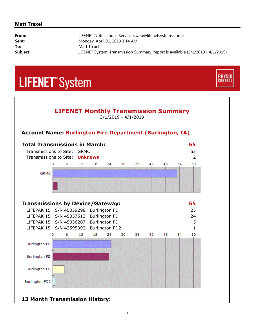#### **Matt Trexel**

| From:    | LIFENET Notifications Service <web@lifenetsystems.com></web@lifenetsystems.com> |
|----------|---------------------------------------------------------------------------------|
| Sent:    | Monday, April 01, 2019 1:14 AM                                                  |
| To:      | Matt Trexel                                                                     |
| Subject: | LIFENET System: Transmission Summary Report is available (3/1/2019 - 4/1/2019)  |

**PHYSIO**<br>CONTROL

# **LIFENET**<sup>\*</sup>System